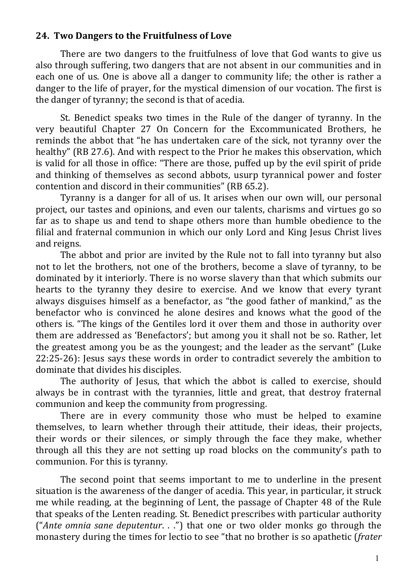## 24. Two Dangers to the Fruitfulness of Love

There are two dangers to the fruitfulness of love that God wants to give us also through suffering, two dangers that are not absent in our communities and in each one of us. One is above all a danger to community life; the other is rather a danger to the life of prayer, for the mystical dimension of our vocation. The first is the danger of tyranny; the second is that of acedia.

St. Benedict speaks two times in the Rule of the danger of tyranny. In the very beautiful Chapter 27 On Concern for the Excommunicated Brothers, he reminds the abbot that "he has undertaken care of the sick, not tyranny over the healthy" (RB 27.6). And with respect to the Prior he makes this observation, which is valid for all those in office: "There are those, puffed up by the evil spirit of pride and thinking of themselves as second abbots, usurp tyrannical power and foster contention and discord in their communities" (RB 65.2).

Tyranny is a danger for all of us. It arises when our own will, our personal project, our tastes and opinions, and even our talents, charisms and virtues go so far as to shape us and tend to shape others more than humble obedience to the filial and fraternal communion in which our only Lord and King Jesus Christ lives and reigns.

The abbot and prior are invited by the Rule not to fall into tyranny but also not to let the brothers, not one of the brothers, become a slave of tyranny, to be dominated by it interiorly. There is no worse slavery than that which submits our hearts to the tyranny they desire to exercise. And we know that every tyrant always disguises himself as a benefactor, as "the good father of mankind," as the benefactor who is convinced he alone desires and knows what the good of the others is. "The kings of the Gentiles lord it over them and those in authority over them are addressed as 'Benefactors'; but among you it shall not be so. Rather, let the greatest among you be as the youngest; and the leader as the servant" (Luke  $22:25-26$ : Jesus says these words in order to contradict severely the ambition to dominate that divides his disciples.

The authority of Jesus, that which the abbot is called to exercise, should always be in contrast with the tyrannies, little and great, that destroy fraternal communion and keep the community from progressing.

There are in every community those who must be helped to examine themselves, to learn whether through their attitude, their ideas, their projects, their words or their silences, or simply through the face they make, whether through all this they are not setting up road blocks on the community's path to communion. For this is tyranny.

The second point that seems important to me to underline in the present situation is the awareness of the danger of acedia. This year, in particular, it struck me while reading, at the beginning of Lent, the passage of Chapter 48 of the Rule that speaks of the Lenten reading. St. Benedict prescribes with particular authority ("Ante omnia sane deputentur. . .") that one or two older monks go through the monastery during the times for lectio to see "that no brother is so apathetic (*frater*